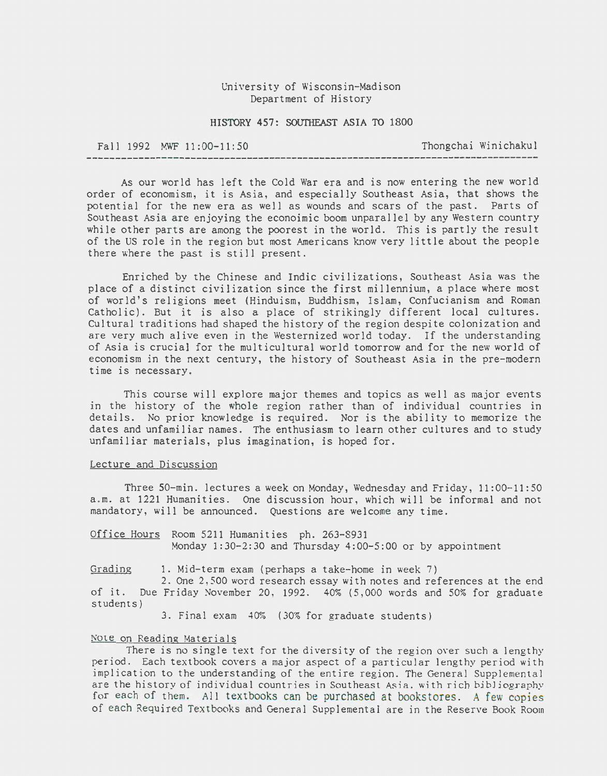## University of Wisconsin-Madison Department of History

### HISTORY 457: SOUTHEAST ASIA TO 1800

# Fall 1992 MWF 11:00-11:50 Thongchai Winichakul

As our world has left the Cold War era and is now entering the new world order of economism, it is Asia, and especially Southeast Asia, that shows the potential for the new era as well as wounds and scars of the past. Parts of Southeast Asia are enjoying the econoimic boom unparallel by any Western country while other parts are among the poorest in the world. This is partly the result of the US role in the region but most Americans know very little about the people there where the past is still present.

Enriched by the Chinese and Indic civilizations, Southeast Asia was the place of a distinct civilization since the first millennium, a place where most of world's religions meet (Hinduism, Buddhism, Islam, Confucianism and Roman Catholic). But it is also a place of strikingly different local cultures. Cultural traditions had shaped the history of the region despite colonization and are very much alive even in the Westernized world today. If the understanding of Asia is crucial for the multicultural world tomorrow and for the new world of economism in the next century, the history of Southeast Asia in the pre-modern time is necessary .

This course will explore major themes and topics as well as major events in the history of the whole region rather than of individual countries in details. No prior knowledge is required. Nor is the ability to memorize the dates and unfamiliar names. The enthusiasm to learn other cultures and to study unfamiliar materials, plus imagination, is hoped for.

#### Lecture and Discussion

Three 50-min. lectures a week on Monday, Wednesday and Friday, 11:00-11:50 a .m. at 1221 Humanities. One discussion hour, which will be informal and not mandatory, will be announced. Questions are welcome any time.

Office Hours Room 5211 Humanities ph. 263-8931 Monday 1:30-2:30 and Thursday 4:00-5:00 or by appointment

Grading 1. Mid-term exam (perhaps a take-home in week 7)

2. One 2, 500 word research essay with notes and references at the end of it. Due Friday November 20, 1992. 40% (5,000 words and 50% for graduate students)

3. Final exam 40% (30% for graduate students)

#### Note on Reading Materials

There is no single text for the diversity of the region over such a lengthy period. Each textbook covers a major aspect of a particular lengthy period with implication to the understanding of the entire region. The General Supplemental are the history of individual countries in Southeast Asia, with rich bibliography for each of them. All textbooks can be purchased at bookstores. A few copies of each Required Textbooks and General Supplemental are in the Reserve Book Room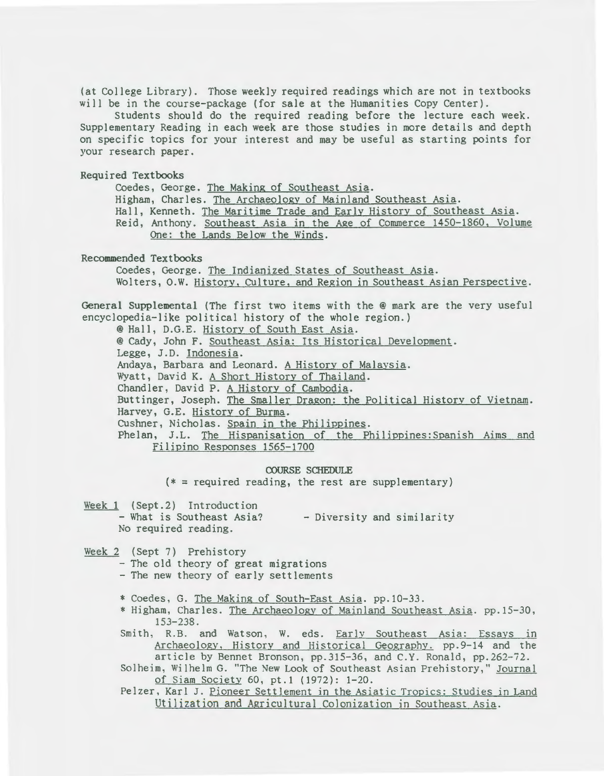(at College Library). Those weekly required readings which are not in textbooks will be in the course-package (for sale at the Humanities Copy Center).

Students should do the required reading before the lecture each week. Supplementary Reading in each week are those studies in more details and depth on specific topics for your interest and may be useful as starting points for your research paper.

Required Textbooks

Coedes, George. The Making of Southeast Asia. Higham, Charles. The Archaeology of Mainland Southeast Asia.

Hall, Kenneth. The Maritime Trade and Early History of Southeast Asia. Reid, Anthony. Southeast Asia in the Age of Commerce 1450-1860, Volume

One: the Lands Below the Winds.

Recommended Textbooks

Coedes, George. The Indianized States of Southeast Asia. Wolters, O.W. History, CUlture, and Region in Southeast Asian Perspective.

General Supplemental (The first two items with the @mark are the very useful encyclopedia-like political history of the whole region.)

@Hall, D.G.E. History of South East Asia.

@Cady, John F. Southeast Asia: Its Historical Development.

Legge, J.D. Indonesia.

Andaya, Barbara and Leonard. A History of Malaysia.

Wyatt, David K. A Short History of Thailand.

Chandler, David P. A History of Cambodia.

Buttinger, Joseph. The Smaller Dragon: the Political History of Vietnam. Harvey, G.E. History of Burma.

CUshner, Nicholas. Spain in the Philippines.

Phelan, J.L. The Hispanisation of the Philippines:Spanish Aims and Filipino Responses 1565-1700

#### COURSE SCHEDULE

 $(* = required reading, the rest are supplementary)$ 

- Week 1 (Sept.2) Introduction
	- What is Southeast Asia? No required reading. - Diversity and similarity
- Week 2 (Sept 7) Prehistory

- The old theory of great migrations

- The new theory of early settlements
- \* Coedes, G. The Making of South-East Asia. pp.10-33.
- \* Higham, Charles. The Archaeology of Mainland Southeast Asia. pp.15-30, 153-238.
- Smith, R.B. and Watson, W. eds. Early Southeast Asia: Essays in Archaeology, History and Historical Geography. pp. 9-14 and the article by Bennet Bronson, pp.315-36, and C.Y. Ronald, pp.262-72.

Solheim, Wilhelm G. "The New Look of Southeast Asian Prehistory," Journal of Siam Society 60, pt.1 (1972): 1-20.

Pelzer, Karl J. Pioneer Settlement in the Asiatic Tropics: Studies in Land Utilization and Agricultural Colonization in Southeast Asia.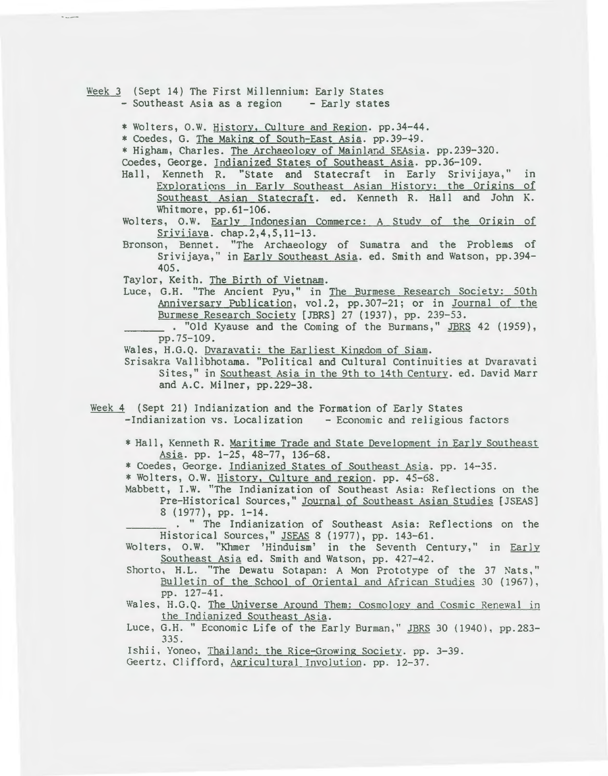Week 3 (Sept 14) The First Millennium: Early States<br>- Southeast Asia as a region - Early states - Southeast Asia as a region

\* Wolters, O.W. History, Culture and Region. pp.34-44.

\* Coedes, G. The Making of South-East Asia. pp.39-49.

\* Higham, Charles. The Archaeology of Mainland SEAsia. pp.239-320.

Coedes, George. Indianized States of Southeast Asia. pp.36-109.

- Hall, Kenneth R. ''State and Statecraft in Early Srivijaya," in Explorations in Early Southeast Asian History: the Origins of Southeast Asian Statecraft. ed. Kenneth R. Hall and John K. Whitmore, pp.61-106.
- Wolters, O.W. Early Indonesian Commerce: A Study of the Origin of Srivijaya. chap.2,4,5,11-13.
- Bronson, Bennet. "The Archaeology of Sumatra and the Problems of Srivijaya," in Early Southeast Asia. ed. Smith and Watson, pp.394- 405.
- Taylor, Keith. The Birth of Vietnam.
- Luce, G.H. "The Ancient Pyu," in The Burmese Research Society: 50th Anniversary Publication, vol. 2, pp. 307-21; or in Journal of the Burmese Research Society [JBRS] 27 (1937), pp. 239-53.

. "Old Kyause and the Coming of the Burmans," JBRS 42 (1959), pp.75-109.

Wales, H.G.Q. Dvaravati: the Earliest Kingdom of Siam.

Srisakra Vallibhotama. "Political and Cultural Continuities at Dvaravati Sites," in Southeast Asia in the 9th to 14th Century. ed. David Marr and A.C. Milner, pp.229-38.

- Week 4 (Sept 21) Indianization and the Formation of Early States -Indianization vs. Localization - Economic and religious factors
	- \* Hall, Kenneth R. Maritime Trade and State Development in Early Southeast<br>Asia. pp. 1-25, 48-77, 136-68.
	- \* Coedes, George. Indianized States of Southeast Asia. pp. 14-35.

\*Wolters, O.W. History, Culture and region. pp. 45-68.

Mabbett, I.W. "The Indianization of Southeast Asia: Reflections on the Pre-Historical Sources," Journal of Southeast Asian Studies [JSEAS) 8 (1977), pp. 1-14.

. " The Indianization of Southeast Asia: Reflections on the Historical Sources," JSEAS 8 ( 1977), pp. 143-61.

Wolters, O.W. "Khmer 'Hinduism' in the Seventh Century," in Early Southeast Asia ed. Smith and Watson, pp. 427-42.

Shorto, H.L. "The Dewatu Sotapan: A Mon Prototype of the 37 Nats," Bulletin of the School of Oriental and African Studies 30 (1967), pp. 127-41.

Wales, H.G.Q. The Universe Around Them: Cosmology and Cosmic Renewal in the Indianized Southeast Asia.

Luce, G.H. " Economic Life of the Early Burman," JBRS 30 (1940), pp.283-335.

Ishii, Yoneo, Thailand: the Rice-Growing Society. pp. 3-39. Geertz. Clifford, Agricultural Involution. pp. 12-37.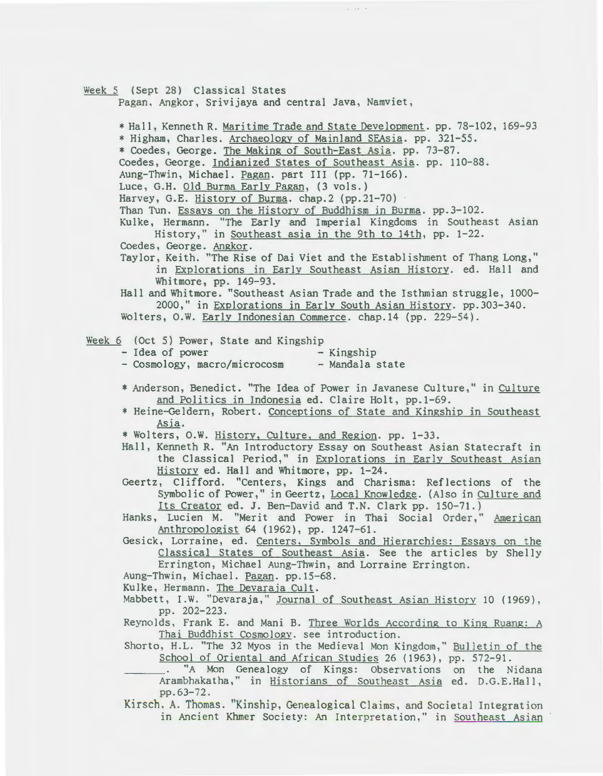Week 5 (Sept 28) Classical States

Pagan, Angkor, Srivijaya and central Java, Namviet,

 $\mu$  . Let  $\mu$  be

\*Hall, Kenneth R. Maritime Trade and State Development. pp. 78-102, 169-93 \* Higham, Charles. Archaeology of Mainland SEAsia. pp. 321-55. \* Coedes, George. The Making of South-East Asia. pp. 73-87. Coedes, George. Indianized States of Southeast Asia. pp. 110-88. Aung-Thwin, Michael. Pagan. part III (pp. 71-166). Luce, G.H. Old Burma Early Pagan, (3 vols.) Harvey, G.E. History of Burma. chap. 2 (pp. 21-70) Than Tun. Essays on the History of Buddhism in Burma. pp.3-102. Kulke, Hermann. "The Early and Imperial Kingdoms in Southeast Asian History," in Southeast asia in the 9th to 14th, pp. 1-22. Coedes, George. Angkor. Taylor, Keith. "The Rise of Dai Viet and the Establishment of Thang Long," in Explorations in Earlv Southeast Asian History. ed. Hall and Whitmore, pp. 149-93. Hall and Whitmore. "Southeast Asian Trade and the Isthmian struggle, 1000- 2000," in Explorations in Early South Asian History. pp.303-340. Wolters, O.W. Early Indonesian Commerce. chap.14 (pp. 229-54). Week  $6$  (Oct 5) Power, State and Kingship<br>- Idea of power - Kingship - Idea of power - Cosmology, macro/microcosm - Mandala state \* Anderson, Benedict. "The Idea of Power in Javanese Culture," in Culture and Politics in Indonesia ed. Claire Holt, pp.l-69. \* Heine-Geldern, Robert. Conceptions of State and Kingship in Southeast Asia.<br>\* Wolters, O.W. <u>History, Culture, and Region</u>. pp. 1-33. Hall, Kenneth R. "An Introductory Essay on Southeast Asian Statecraft in the Classical Period," in Explorations in Early Southeast Asian History ed. Hall and Whitmore, pp. 1-24. Geertz, Clifford. "Centers, Kings and Charisma: Reflections of the Symbolic of Power," in Geertz, Local Knowledge. (Also in Culture and Its Creator ed. J. Ben-David and T.N. Clark pp. 150-71.) Hanks, Lucien M. "Merit and Power in Thai Social Order," American Anthropologist 64 (1962), pp. 1247-61. Gesick, Lorraine, ed. Centers, Symbols and Hierarchies: Essays on the Classical States of Southeast Asia. See the articles by Shelly Errington, Michael Aung-Thwin, and Lorraine Errington. Aung-Thwin, Michael. Pagan. pp.lS-68. Kulke, Hermann. The Devaraja Cult. Mabbett, I.W. "Devaraja," Journal of Southeast Asian History 10 (1969), pp. 202-223. Reynolds, Frank E. and Mani B. Three Worlds According to King Ruang: A Thai Buddhist Cosmology. see introduction. Shorto, H.L. "The 32 Myos in the Medieval Mon Kingdom," Bulletin of the School of Oriental and African Studies 26 ( 1963), pp. 572-91.  $\sim$ "A Mon Genealogy of Kings: Observations on the Nidana Arambhakatha," in Historians of Southeast Asia ed. D.G.E.Hall, pp.63-72. Kirsch. A. Thomas. "Kinship, Genealogical Claims, and Societal Integration in Ancient Khmer Society: An Interpretation," in Southeast Asian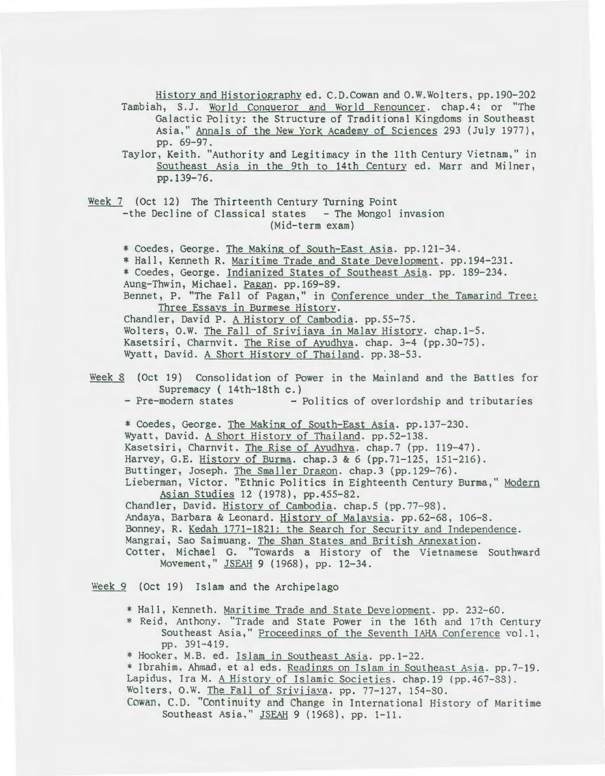History and Historiography ed. C.D.Cowan and O.W.Wolters, pp.190-202 Tambiah, S.J. World Conqueror and World Renouncer. chap.4; or "The

Galactic Polity: the Structure of Traditional Kingdoms in Southeast Asia," Annals of the New York Academy of Sciences 293 (July 1977), pp. 69-97.

Taylor, Keith. "Authority and Legitimacy in the 11th Century Vietnam," in Southeast Asia in the 9th to 14th Century ed. Marr and Milner, pp.139-76.

Week 7 (Oct 12) The Thirteenth Century Turning Point -the Decline of Classical states - The Mongol invasion (Mid-term exam)

\* Coedes, George. The Making of South-East Asia. pp.l21-34. \* Hall, Kenneth R. Maritime Trade and State Development. pp.194-231. \* Coedes, George. Indianized States of Southeast Asia. pp. 189-234.

Aung-Thwin, Michael. Pagan. pp.169-89.

Bennet, P. "The Fall of Pagan," in Conference under the Tamarind Tree: Three Essavs in Burmese History.

Chandler, David P. A History of Cambodia. pp.55-75. Wolters, O.W. The Fall of Srivijaya in Malay History. chap.1-5. Kasetsiri, Charnvit. The Rise of Ayudhya. chap. 3-4 (pp.30-75).

Wyatt, David. A Short History of Thailand. pp.38-53.

- Week 8 (Oct 19) Consolidation of Power in the Mainland and the Battles for Supremacy ( 14th-18th c.)<br>- Pre-modern states - 1
	- Politics of overlordship and tributaries

\* Coedes, George. The Making of South-East Asia. pp.l37-230. Wyatt, David. A Short History of Thailand. pp.52-138. Kasetsiri, Charnvit. The Rise of Ayudhya. chap.7 (pp. 119-47). Harvey, G.E. History of Burma. chap. 3 & 6 (pp. 71-125, 151-216). Buttinger, Joseph. The Smaller Dragon. chap.3 (pp.129-76). Lieberman, Victor. "Ethnic Politics in Eighteenth Century Burma," Modern

Asian Studies 12 (1978), pp.455-82. Chandler, David. History of Cambodia. chap.5 (pp.77-98). Andaya, Barbara & Leonard. History of Malaysia. pp.62-68, 106-8. Bonney, R. Kedah 1771-1821: the Search for Security and Independence. Mangrai, Sao Saimuang. The Shan States and British Annexation. Cotter, Michael G. "Towards a History of the Vietnamese Southward Movement," JSEAH 9 (1968), pp. 12-34.

Week 9 (Oct 19) Islam and the Archipelago

- \*Hall, Kenneth. Maritime Trade and State Development. pp. 232-60.
- \* Reid, Anthony. "Trade and State Power in the 16th and 17th Century Southeast Asia," Proceedings of the Seventh IAHA Conference vol.l, pp. 391-419.
- \*Hooker, M.B. ed. Islam in Southeast Asia. pp.l-22.

\*Ibrahim, Ahmad, et al eds. Readings on Islam in Southeast Asia. pp.7-19. Lapidus, Ira M. A History of Islamic Societies. chap.19 (pp.467-88). Wolters, O.W. The Fall of Srivijava. pp. 77-127, 154-80.

Cowan, C.D. "Continuity and Change in International History of Maritime Southeast Asia," JSEAH 9 (1968), pp. 1-11.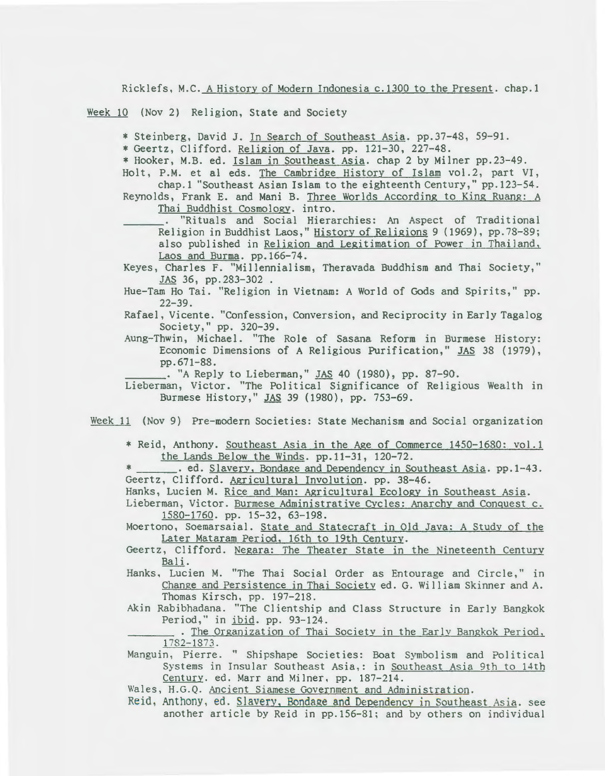Ricklefs, M.C. A History of Modern Indonesia c.1300 to the Present. chap.1

Week 10 (Nov 2) Religion, State and Society

\* Steinberg, David J. Jn Search of Southeast Asia. pp.37-48, 59-91. \* Geertz, Clifford. Religion of Java. pp. 121-30, 227-48. \* Hooker, M.B. ed. Islam in Southeast Asia. chap 2 by Milner pp.23-49.

Holt, P.M. et al eds. The Cambridee History of Islam vol.2, part VI, chap.l "Southeast Asian Islam to the eighteenth Century," pp.123-54.

Reynolds, Frank E. and Mani B. Three Worlds According to King Ruang: A Thai Buddhist Cosmology. intro.

"Rituals and Social Hierarchies: An Aspect of Traditional Religion in Buddhist Laos," History of Religions 9 (1969), pp.78-89; also published in Religion and Legitimation of Power in Thailand, Laos and Burma. pp.166-74.

Keyes, Charles F. "Millennialism, Theravada Buddhism and Thai Society," JAS 36, pp.283-302 .

- Hue-Tam Ho Tai. "Religion in Vietnam: A World of Gods and Spirits," pp.  $22 - 39.$
- Rafael, Vicente. "Confession, Conversion, and Reciprocity in Early Tagalog Society," pp. 320-39.
- Aung-Thwin, Michael. "The Role of Sasana Reform in Burmese History: Economic Dimensions of A Religious Purification," JAS 38 (1979), pp.671-88.<br>.. "A Reply to Lieberman," JAS 40 (1980), pp. 87-90.

- Lieberman, Victor. "The Political Significance of Religious Wealth in Burmese History," JAS 39 (1980), pp. 753-69.
- Week 11 (Nov 9) Pre-modern Societies: State Mechanism and Social organization
	- \* Reid, Anthony. Southeast Asia in the Age of Commerce 1450-1680: vol.1 the Lands Below the Winds. pp.11-31, 120-72.
	- \* \_\_\_\_\_\_. ed. Slavery, Bondage and Dependency in Southeast Asia. pp. 1-43. Geertz, Clifford. Agricultural Involution. pp. 38-46.

Hanks, Lucien M. Rice and Man: Agricultural Ecology in Southeast Asia.

Lieberman, Victor. Burmese Administrative Cycles: Anarchy and Conquest c. 1580-1760. pp. 15-32, 63-198.

Moertono, Soemarsaial. State and Statecraft in Old Java: A Study of the Later Mataram Period, 16th to 19th Century.

- Geertz, Clifford. Negara: The Theater State in the Nineteenth Century Bali.
- Hanks, Lucien M. "The Thai Social Order as Entourage and Circle," in Change and Persistence in Thai Society ed. G. William Skinner and A. Thomas Kirsch, pp. 197-218.
- Akin Rabibhadana. "The Clientship and Class Structure in Early Bangkok Period," in ibid. pp. 93-124 .

. The Organization of Thai Society in the Early Bangkok Period, 1782-1873.

Manguin, Pierre. " Shipshape Societies: Boat Symbolism and Political Systems in Insular Southeast Asia,: in Southeast Asia 9th to 14th Century. ed. Marr and Milner, pp. 187-214.

Wales, H.G.Q. Ancient Siamese Government and Administration.

Reid, Anthony, ed. Slavery, Bondage and Dependency in Southeast Asia. see another article by Reid in pp.156-81; and by others on individual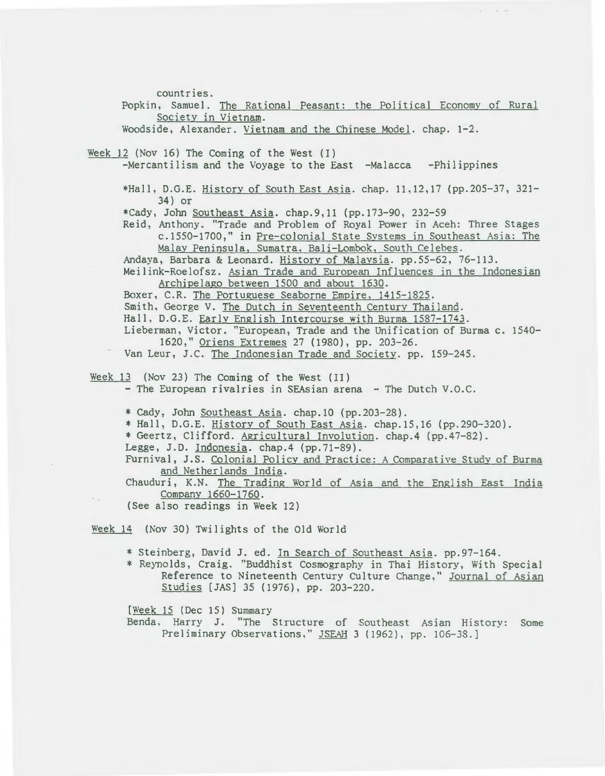countries. Popkin, Samuel. The Rational Peasant: the Political Economy of Rural Society in Vietnam. Woodside, Alexander. Vietnam and the Chinese Model. chap. 1-2. Week 12 (Nov 16) The Coming of the West (I)  $-Mercantilism$  and the Voyage to the East  $-Malacca$  -Philippines \*Hall, D.G.E. History of South East Asia. chap. 11,12,17 (pp.205-37, 321- 34) or \*Cady, John Southeast Asia. chap.9,11 (pp.173-90, 232-59 Reid, Anthony. "Trade and Problem of Royal Power in Aceh: Three Stages c.1550-1700," in Pre-colonial State Systems in Southeast Asia: The Malay Peninsula, Sumatra, Bali-Lombok, South Celebes. Andaya, Barbara & Leonard. History of Malaysia. pp.55-62, 76-113. Meilink-Roelofsz. Asian Trade and European Influences in the Indonesian Archipelago between 1500 and about 1630. Boxer, C.R. The Portuguese Seaborne Empire, 1415-1825. Smith, George V. The Dutch in Seventeenth Century Thailand. Hall, D.G.E. Early English Intercourse with Burma 1587-1743. Lieberman, Victor. "European, Trade and the Unification of Burma c. 1540- 1620," Oriens Extremes 27 (1980), pp. 203-26. Van Leur, J.C. The Indonesian Trade and Society. pp. 159-245. Week 13 (Nov 23) The Coming of the West (II) - The European rivalries in SEAsian arena - The Dutch V.O.C. \*cady, John Southeast Asia. chap.10 (pp.203-28). \*Hall, D.G.E. History of South East Asia. chap.15,16 (pp.290-320). \* Geertz, Clifford. Agricultural Involution. chap.4 {pp.47-82).

Legge, J.D. Indonesia. chap.4 (pp.71-89).

Furnival, J.S. Colonial Policy and Practice: A Comparative Study of Burma and Netherlands India.

Chauduri, K.N. The Trading World of Asia and the English East India Company 1660-1760.

(See also readings in Week 12)

Week 14 (Nov 30) Twilights of the Old World

\* Steinberg, David J. ed. In Search of Southeast Asia. pp.97-164.

\* Reynolds, Craig. "Buddhist Cosmography in Thai History, With Special Reference to Nineteenth Century Culture Change," Journal of Asian Studies [JAS] 35 (1976), pp. 203-220.

(Week 15 (Dec 15) Summary

Benda, Harry J. "The Structure of Southeast Asian History: Some Preliminary Observations," JSEAH 3 (1962), pp. 106-38.]